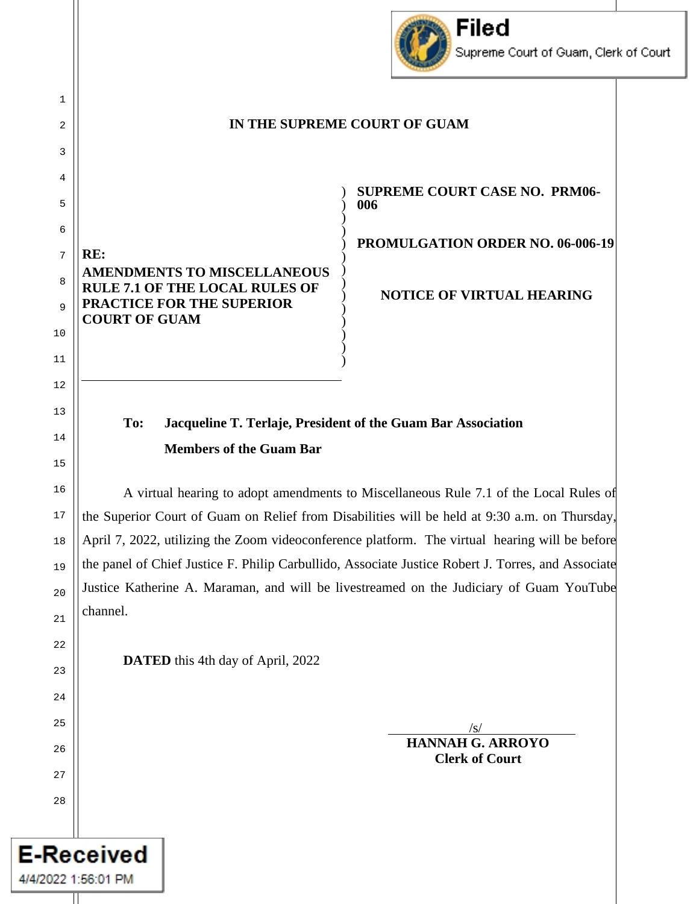

#### **IN THE SUPREME COURT OF GUAM**

) ) ) ) ) ) ) ) ) ) ) ) ) )

**RE: AMENDMENTS TO MISCELLANEOUS RULE 7.1 OF THE LOCAL RULES OF PRACTICE FOR THE SUPERIOR COURT OF GUAM**

**SUPREME COURT CASE NO. PRM06- 006**

**PROMULGATION ORDER NO. 06-006-19**

**NOTICE OF VIRTUAL HEARING** 

# **To: Jacqueline T. Terlaje, President of the Guam Bar Association Members of the Guam Bar**

A virtual hearing to adopt amendments to Miscellaneous Rule 7.1 of the Local Rules of the Superior Court of Guam on Relief from Disabilities will be held at 9:30 a.m. on Thursday, April 7, 2022, utilizing the Zoom videoconference platform. The virtual hearing will be before the panel of Chief Justice F. Philip Carbullido, Associate Justice Robert J. Torres, and Associate Justice Katherine A. Maraman, and will be livestreamed on the Judiciary of Guam YouTube channel.

**DATED** this 4th day of April, 2022

 $\frac{1}{\sqrt{S}}$ 

**HANNAH G. ARROYO Clerk of Court** 

**E-Received** 

4/4/2022 1:56:01 PM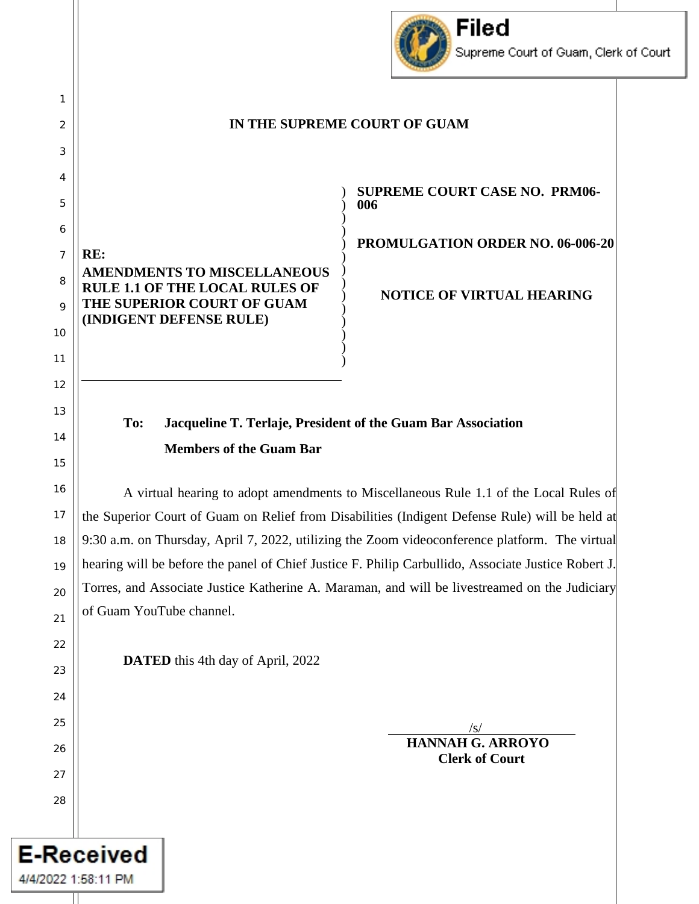

#### **IN THE SUPREME COURT OF GUAM**

) ) ) ) ) ) ) ) ) ) ) ) ) )

**RE: AMENDMENTS TO MISCELLANEOUS RULE 1.1 OF THE LOCAL RULES OF THE SUPERIOR COURT OF GUAM (INDIGENT DEFENSE RULE)**

1

2

3

4

5

6

7

8

9

10

11

12

13

14

15

16

17

18

19

20

21

22

23

24

25

26

27

28

**E-Received** 

4/4/2022 1:58:11 PM

**SUPREME COURT CASE NO. PRM06- 006**

**PROMULGATION ORDER NO. 06-006-20**

**NOTICE OF VIRTUAL HEARING** 

## **To: Jacqueline T. Terlaje, President of the Guam Bar Association Members of the Guam Bar**

A virtual hearing to adopt amendments to Miscellaneous Rule 1.1 of the Local Rules of the Superior Court of Guam on Relief from Disabilities (Indigent Defense Rule) will be held at 9:30 a.m. on Thursday, April 7, 2022, utilizing the Zoom videoconference platform. The virtual hearing will be before the panel of Chief Justice F. Philip Carbullido, Associate Justice Robert J. Torres, and Associate Justice Katherine A. Maraman, and will be livestreamed on the Judiciary of Guam YouTube channel.

**DATED** this 4th day of April, 2022

 $\frac{1}{\sqrt{S}}$ 

**HANNAH G. ARROYO Clerk of Court**